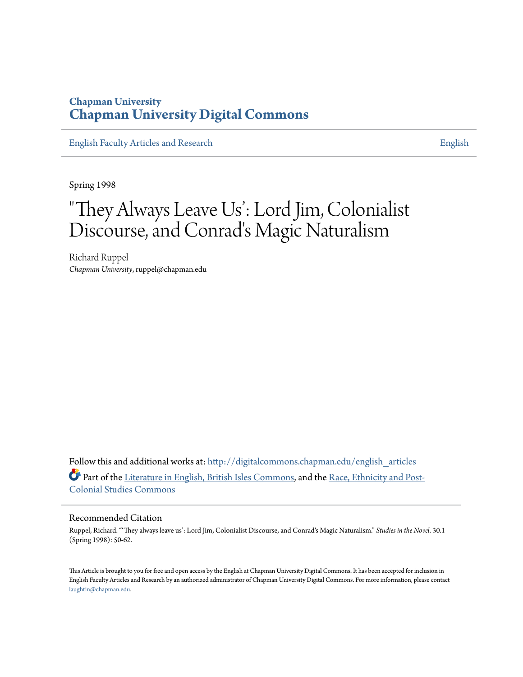### **Chapman University [Chapman University Digital Commons](http://digitalcommons.chapman.edu?utm_source=digitalcommons.chapman.edu%2Fenglish_articles%2F79&utm_medium=PDF&utm_campaign=PDFCoverPages)**

[English Faculty Articles and Research](http://digitalcommons.chapman.edu/english_articles?utm_source=digitalcommons.chapman.edu%2Fenglish_articles%2F79&utm_medium=PDF&utm_campaign=PDFCoverPages) [English](http://digitalcommons.chapman.edu/english?utm_source=digitalcommons.chapman.edu%2Fenglish_articles%2F79&utm_medium=PDF&utm_campaign=PDFCoverPages) English

Spring 1998

# "They Always Leave Us': Lord Jim, Colonialist Discourse, and Conrad's Magic Naturalism

Richard Ruppel *Chapman University*, ruppel@chapman.edu

Follow this and additional works at: [http://digitalcommons.chapman.edu/english\\_articles](http://digitalcommons.chapman.edu/english_articles?utm_source=digitalcommons.chapman.edu%2Fenglish_articles%2F79&utm_medium=PDF&utm_campaign=PDFCoverPages) Part of the [Literature in English, British Isles Commons](http://network.bepress.com/hgg/discipline/456?utm_source=digitalcommons.chapman.edu%2Fenglish_articles%2F79&utm_medium=PDF&utm_campaign=PDFCoverPages), and the [Race, Ethnicity and Post-](http://network.bepress.com/hgg/discipline/566?utm_source=digitalcommons.chapman.edu%2Fenglish_articles%2F79&utm_medium=PDF&utm_campaign=PDFCoverPages)[Colonial Studies Commons](http://network.bepress.com/hgg/discipline/566?utm_source=digitalcommons.chapman.edu%2Fenglish_articles%2F79&utm_medium=PDF&utm_campaign=PDFCoverPages)

#### Recommended Citation

Ruppel, Richard. "'They always leave us': Lord Jim, Colonialist Discourse, and Conrad's Magic Naturalism." *Studies in the Novel*. 30.1 (Spring 1998): 50-62.

This Article is brought to you for free and open access by the English at Chapman University Digital Commons. It has been accepted for inclusion in English Faculty Articles and Research by an authorized administrator of Chapman University Digital Commons. For more information, please contact [laughtin@chapman.edu](mailto:laughtin@chapman.edu).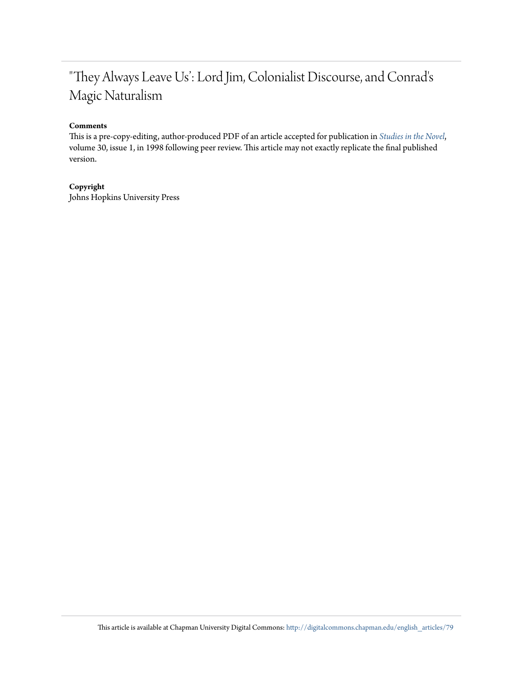## "They Always Leave Us': Lord Jim, Colonialist Discourse, and Conrad's Magic Naturalism

#### **Comments**

This is a pre-copy-editing, author-produced PDF of an article accepted for publication in *[Studies in the Novel](https://studiesinthenovel.org/read/issue-archive/volume-30.html)*, volume 30, issue 1, in 1998 following peer review. This article may not exactly replicate the final published version.

#### **Copyright**

Johns Hopkins University Press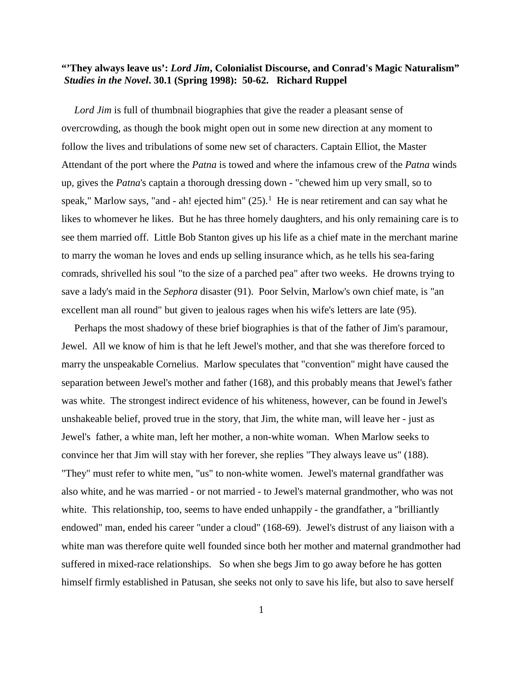#### **"'They always leave us':** *Lord Jim***, Colonialist Discourse, and Conrad's Magic Naturalism"** *Studies in the Novel***. 30.1 (Spring 1998): 50-62. Richard Ruppel**

*Lord Jim* is full of thumbnail biographies that give the reader a pleasant sense of overcrowding, as though the book might open out in some new direction at any moment to follow the lives and tribulations of some new set of characters. Captain Elliot, the Master Attendant of the port where the *Patna* is towed and where the infamous crew of the *Patna* winds up, gives the *Patna*'s captain a thorough dressing down - "chewed him up very small, so to speak," Marlow says, "and - ah! ejected him"  $(25)$ .<sup>[1](#page-4-0)</sup> He is near retirement and can say what he likes to whomever he likes. But he has three homely daughters, and his only remaining care is to see them married off. Little Bob Stanton gives up his life as a chief mate in the merchant marine to marry the woman he loves and ends up selling insurance which, as he tells his sea-faring comrads, shrivelled his soul "to the size of a parched pea" after two weeks. He drowns trying to save a lady's maid in the *Sephora* disaster (91). Poor Selvin, Marlow's own chief mate, is "an excellent man all round" but given to jealous rages when his wife's letters are late (95).

 Perhaps the most shadowy of these brief biographies is that of the father of Jim's paramour, Jewel. All we know of him is that he left Jewel's mother, and that she was therefore forced to marry the unspeakable Cornelius. Marlow speculates that "convention" might have caused the separation between Jewel's mother and father (168), and this probably means that Jewel's father was white. The strongest indirect evidence of his whiteness, however, can be found in Jewel's unshakeable belief, proved true in the story, that Jim, the white man, will leave her - just as Jewel's father, a white man, left her mother, a non-white woman. When Marlow seeks to convince her that Jim will stay with her forever, she replies "They always leave us" (188). "They" must refer to white men, "us" to non-white women. Jewel's maternal grandfather was also white, and he was married - or not married - to Jewel's maternal grandmother, who was not white. This relationship, too, seems to have ended unhappily - the grandfather, a "brilliantly endowed" man, ended his career "under a cloud" (168-69). Jewel's distrust of any liaison with a white man was therefore quite well founded since both her mother and maternal grandmother had suffered in mixed-race relationships. So when she begs Jim to go away before he has gotten himself firmly established in Patusan, she seeks not only to save his life, but also to save herself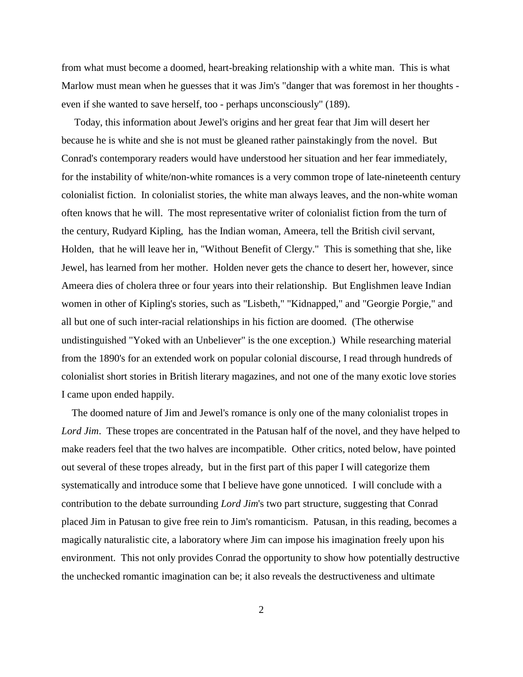from what must become a doomed, heart-breaking relationship with a white man. This is what Marlow must mean when he guesses that it was Jim's "danger that was foremost in her thoughts even if she wanted to save herself, too - perhaps unconsciously" (189).

 Today, this information about Jewel's origins and her great fear that Jim will desert her because he is white and she is not must be gleaned rather painstakingly from the novel. But Conrad's contemporary readers would have understood her situation and her fear immediately, for the instability of white/non-white romances is a very common trope of late-nineteenth century colonialist fiction. In colonialist stories, the white man always leaves, and the non-white woman often knows that he will. The most representative writer of colonialist fiction from the turn of the century, Rudyard Kipling, has the Indian woman, Ameera, tell the British civil servant, Holden, that he will leave her in, "Without Benefit of Clergy." This is something that she, like Jewel, has learned from her mother. Holden never gets the chance to desert her, however, since Ameera dies of cholera three or four years into their relationship. But Englishmen leave Indian women in other of Kipling's stories, such as "Lisbeth," "Kidnapped," and "Georgie Porgie," and all but one of such inter-racial relationships in his fiction are doomed. (The otherwise undistinguished "Yoked with an Unbeliever" is the one exception.) While researching material from the 1890's for an extended work on popular colonial discourse, I read through hundreds of colonialist short stories in British literary magazines, and not one of the many exotic love stories I came upon ended happily.

 The doomed nature of Jim and Jewel's romance is only one of the many colonialist tropes in Lord Jim. These tropes are concentrated in the Patusan half of the novel, and they have helped to make readers feel that the two halves are incompatible. Other critics, noted below, have pointed out several of these tropes already, but in the first part of this paper I will categorize them systematically and introduce some that I believe have gone unnoticed. I will conclude with a contribution to the debate surrounding *Lord Jim*'s two part structure, suggesting that Conrad placed Jim in Patusan to give free rein to Jim's romanticism. Patusan, in this reading, becomes a magically naturalistic cite, a laboratory where Jim can impose his imagination freely upon his environment. This not only provides Conrad the opportunity to show how potentially destructive the unchecked romantic imagination can be; it also reveals the destructiveness and ultimate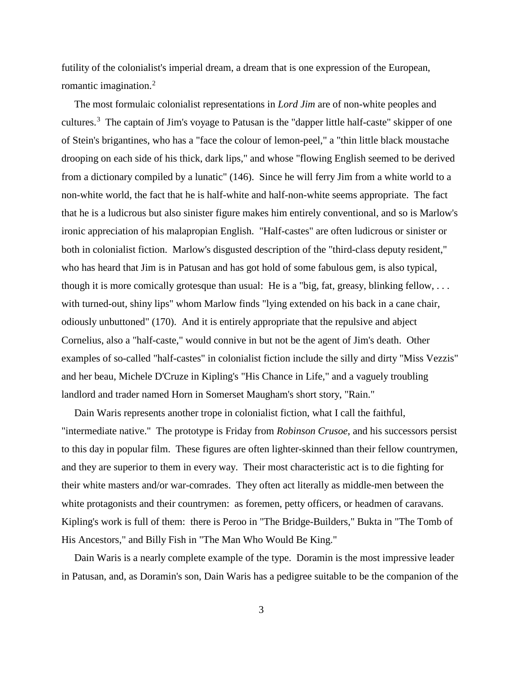futility of the colonialist's imperial dream, a dream that is one expression of the European, romantic imagination.[2](#page-5-0)

 The most formulaic colonialist representations in *Lord Jim* are of non-white peoples and cultures.<sup>[3](#page-5-1)</sup> The captain of Jim's voyage to Patusan is the "dapper little half-caste" skipper of one of Stein's brigantines, who has a "face the colour of lemon-peel," a "thin little black moustache drooping on each side of his thick, dark lips," and whose "flowing English seemed to be derived from a dictionary compiled by a lunatic" (146). Since he will ferry Jim from a white world to a non-white world, the fact that he is half-white and half-non-white seems appropriate. The fact that he is a ludicrous but also sinister figure makes him entirely conventional, and so is Marlow's ironic appreciation of his malapropian English. "Half-castes" are often ludicrous or sinister or both in colonialist fiction. Marlow's disgusted description of the "third-class deputy resident," who has heard that Jim is in Patusan and has got hold of some fabulous gem, is also typical, though it is more comically grotesque than usual: He is a "big, fat, greasy, blinking fellow,  $\dots$ with turned-out, shiny lips" whom Marlow finds "lying extended on his back in a cane chair, odiously unbuttoned" (170). And it is entirely appropriate that the repulsive and abject Cornelius, also a "half-caste," would connive in but not be the agent of Jim's death. Other examples of so-called "half-castes" in colonialist fiction include the silly and dirty "Miss Vezzis" and her beau, Michele D'Cruze in Kipling's "His Chance in Life," and a vaguely troubling landlord and trader named Horn in Somerset Maugham's short story, "Rain."

<span id="page-4-0"></span> Dain Waris represents another trope in colonialist fiction, what I call the faithful, "intermediate native." The prototype is Friday from *Robinson Crusoe*, and his successors persist to this day in popular film. These figures are often lighter-skinned than their fellow countrymen, and they are superior to them in every way. Their most characteristic act is to die fighting for their white masters and/or war-comrades. They often act literally as middle-men between the white protagonists and their countrymen: as foremen, petty officers, or headmen of caravans. Kipling's work is full of them: there is Peroo in "The Bridge-Builders," Bukta in "The Tomb of His Ancestors," and Billy Fish in "The Man Who Would Be King."

 Dain Waris is a nearly complete example of the type. Doramin is the most impressive leader in Patusan, and, as Doramin's son, Dain Waris has a pedigree suitable to be the companion of the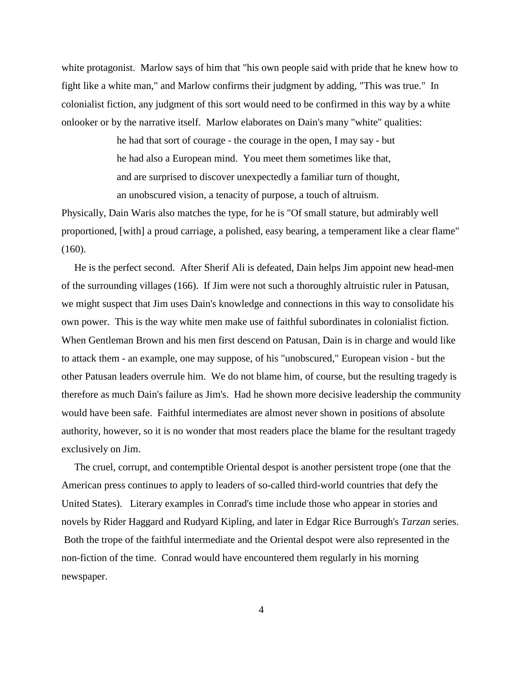white protagonist. Marlow says of him that "his own people said with pride that he knew how to fight like a white man," and Marlow confirms their judgment by adding, "This was true." In colonialist fiction, any judgment of this sort would need to be confirmed in this way by a white onlooker or by the narrative itself. Marlow elaborates on Dain's many "white" qualities:

> he had that sort of courage - the courage in the open, I may say - but he had also a European mind. You meet them sometimes like that, and are surprised to discover unexpectedly a familiar turn of thought, an unobscured vision, a tenacity of purpose, a touch of altruism.

Physically, Dain Waris also matches the type, for he is "Of small stature, but admirably well proportioned, [with] a proud carriage, a polished, easy bearing, a temperament like a clear flame" (160).

<span id="page-5-0"></span> He is the perfect second. After Sherif Ali is defeated, Dain helps Jim appoint new head-men of the surrounding villages (166). If Jim were not such a thoroughly altruistic ruler in Patusan, we might suspect that Jim uses Dain's knowledge and connections in this way to consolidate his own power. This is the way white men make use of faithful subordinates in colonialist fiction. When Gentleman Brown and his men first descend on Patusan, Dain is in charge and would like to attack them - an example, one may suppose, of his "unobscured," European vision - but the other Patusan leaders overrule him. We do not blame him, of course, but the resulting tragedy is therefore as much Dain's failure as Jim's. Had he shown more decisive leadership the community would have been safe. Faithful intermediates are almost never shown in positions of absolute authority, however, so it is no wonder that most readers place the blame for the resultant tragedy exclusively on Jim.

<span id="page-5-3"></span><span id="page-5-2"></span><span id="page-5-1"></span> The cruel, corrupt, and contemptible Oriental despot is another persistent trope (one that the American press continues to apply to leaders of so-called third-world countries that defy the United States). Literary examples in Conrad's time include those who appear in stories and novels by Rider Haggard and Rudyard Kipling, and later in Edgar Rice Burrough's *Tarzan* series. Both the trope of the faithful intermediate and the Oriental despot were also represented in the non-fiction of the time. Conrad would have encountered them regularly in his morning newspaper.

4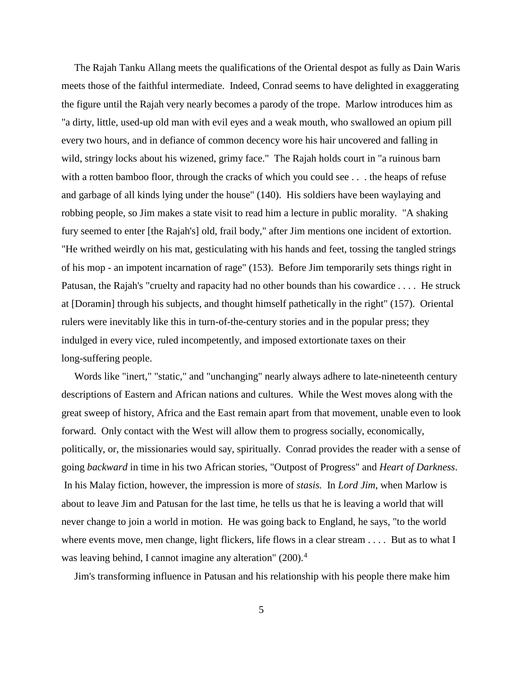<span id="page-6-0"></span> The Rajah Tanku Allang meets the qualifications of the Oriental despot as fully as Dain Waris meets those of the faithful intermediate. Indeed, Conrad seems to have delighted in exaggerating the figure until the Rajah very nearly becomes a parody of the trope. Marlow introduces him as "a dirty, little, used-up old man with evil eyes and a weak mouth, who swallowed an opium pill every two hours, and in defiance of common decency wore his hair uncovered and falling in wild, stringy locks about his wizened, grimy face." The Rajah holds court in "a ruinous barn with a rotten bamboo floor, through the cracks of which you could see . . . the heaps of refuse and garbage of all kinds lying under the house" (140). His soldiers have been waylaying and robbing people, so Jim makes a state visit to read him a lecture in public morality. "A shaking fury seemed to enter [the Rajah's] old, frail body," after Jim mentions one incident of extortion. "He writhed weirdly on his mat, gesticulating with his hands and feet, tossing the tangled strings of his mop - an impotent incarnation of rage" (153). Before Jim temporarily sets things right in Patusan, the Rajah's "cruelty and rapacity had no other bounds than his cowardice . . . . He struck at [Doramin] through his subjects, and thought himself pathetically in the right" (157). Oriental rulers were inevitably like this in turn-of-the-century stories and in the popular press; they indulged in every vice, ruled incompetently, and imposed extortionate taxes on their long-suffering people.

 Words like "inert," "static," and "unchanging" nearly always adhere to late-nineteenth century descriptions of Eastern and African nations and cultures. While the West moves along with the great sweep of history, Africa and the East remain apart from that movement, unable even to look forward. Only contact with the West will allow them to progress socially, economically, politically, or, the missionaries would say, spiritually. Conrad provides the reader with a sense of going *backward* in time in his two African stories, "Outpost of Progress" and *Heart of Darkness*. In his Malay fiction, however, the impression is more of *stasis.* In *Lord Jim*, when Marlow is about to leave Jim and Patusan for the last time, he tells us that he is leaving a world that will never change to join a world in motion. He was going back to England, he says, "to the world where events move, men change, light flickers, life flows in a clear stream . . . . But as to what I was leaving behind, I cannot imagine any alteration" (200).<sup>[4](#page-5-2)</sup>

Jim's transforming influence in Patusan and his relationship with his people there make him

5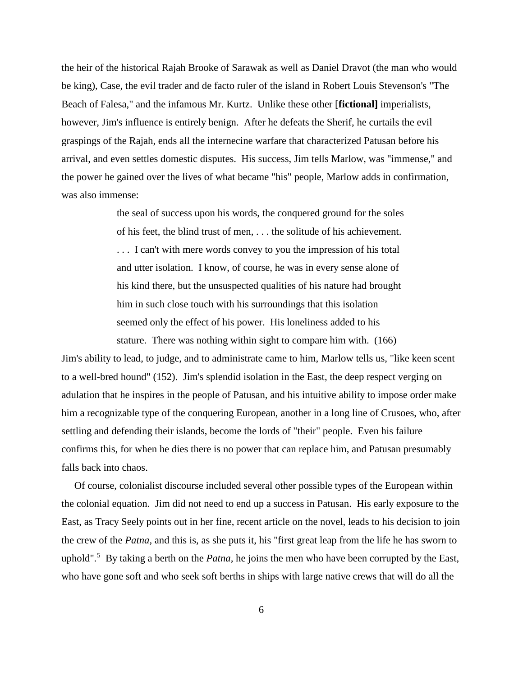<span id="page-7-0"></span>the heir of the historical Rajah Brooke of Sarawak as well as Daniel Dravot (the man who would be king), Case, the evil trader and de facto ruler of the island in Robert Louis Stevenson's "The Beach of Falesa," and the infamous Mr. Kurtz. Unlike these other [**fictional]** imperialists, however, Jim's influence is entirely benign. After he defeats the Sherif, he curtails the evil graspings of the Rajah, ends all the internecine warfare that characterized Patusan before his arrival, and even settles domestic disputes. His success, Jim tells Marlow, was "immense," and the power he gained over the lives of what became "his" people, Marlow adds in confirmation, was also immense:

> the seal of success upon his words, the conquered ground for the soles of his feet, the blind trust of men, . . . the solitude of his achievement.

> . . . I can't with mere words convey to you the impression of his total and utter isolation. I know, of course, he was in every sense alone of his kind there, but the unsuspected qualities of his nature had brought him in such close touch with his surroundings that this isolation seemed only the effect of his power. His loneliness added to his stature. There was nothing within sight to compare him with. (166)

Jim's ability to lead, to judge, and to administrate came to him, Marlow tells us, "like keen scent to a well-bred hound" (152). Jim's splendid isolation in the East, the deep respect verging on adulation that he inspires in the people of Patusan, and his intuitive ability to impose order make him a recognizable type of the conquering European, another in a long line of Crusoes, who, after settling and defending their islands, become the lords of "their" people. Even his failure confirms this, for when he dies there is no power that can replace him, and Patusan presumably falls back into chaos.

 Of course, colonialist discourse included several other possible types of the European within the colonial equation. Jim did not need to end up a success in Patusan. His early exposure to the East, as Tracy Seely points out in her fine, recent article on the novel, leads to his decision to join the crew of the *Patna,* and this is, as she puts it, his "first great leap from the life he has sworn to uphold".[5](#page-5-3) By taking a berth on the *Patna,* he joins the men who have been corrupted by the East, who have gone soft and who seek soft berths in ships with large native crews that will do all the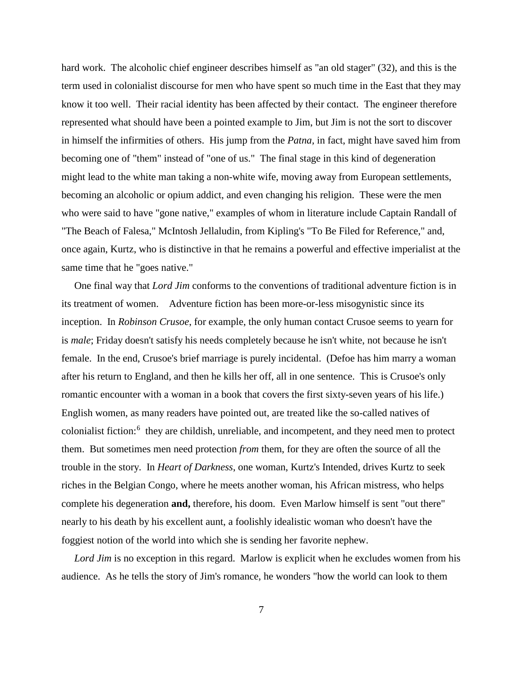hard work. The alcoholic chief engineer describes himself as "an old stager" (32), and this is the term used in colonialist discourse for men who have spent so much time in the East that they may know it too well. Their racial identity has been affected by their contact. The engineer therefore represented what should have been a pointed example to Jim, but Jim is not the sort to discover in himself the infirmities of others. His jump from the *Patna,* in fact, might have saved him from becoming one of "them" instead of "one of us." The final stage in this kind of degeneration might lead to the white man taking a non-white wife, moving away from European settlements, becoming an alcoholic or opium addict, and even changing his religion. These were the men who were said to have "gone native," examples of whom in literature include Captain Randall of "The Beach of Falesa," McIntosh Jellaludin, from Kipling's "To Be Filed for Reference," and, once again, Kurtz, who is distinctive in that he remains a powerful and effective imperialist at the same time that he "goes native."

<span id="page-8-3"></span><span id="page-8-2"></span><span id="page-8-1"></span><span id="page-8-0"></span> One final way that *Lord Jim* conforms to the conventions of traditional adventure fiction is in its treatment of women. Adventure fiction has been more-or-less misogynistic since its inception. In *Robinson Crusoe*, for example, the only human contact Crusoe seems to yearn for is *male*; Friday doesn't satisfy his needs completely because he isn't white, not because he isn't female. In the end, Crusoe's brief marriage is purely incidental. (Defoe has him marry a woman after his return to England, and then he kills her off, all in one sentence. This is Crusoe's only romantic encounter with a woman in a book that covers the first sixty-seven years of his life.) English women, as many readers have pointed out, are treated like the so-called natives of colonialist fiction:<sup>[6](#page-6-0)</sup> they are childish, unreliable, and incompetent, and they need men to protect them. But sometimes men need protection *from* them, for they are often the source of all the trouble in the story. In *Heart of Darkness*, one woman, Kurtz's Intended, drives Kurtz to seek riches in the Belgian Congo, where he meets another woman, his African mistress, who helps complete his degeneration **and,** therefore, his doom. Even Marlow himself is sent "out there" nearly to his death by his excellent aunt, a foolishly idealistic woman who doesn't have the foggiest notion of the world into which she is sending her favorite nephew.

 *Lord Jim* is no exception in this regard. Marlow is explicit when he excludes women from his audience. As he tells the story of Jim's romance, he wonders "how the world can look to them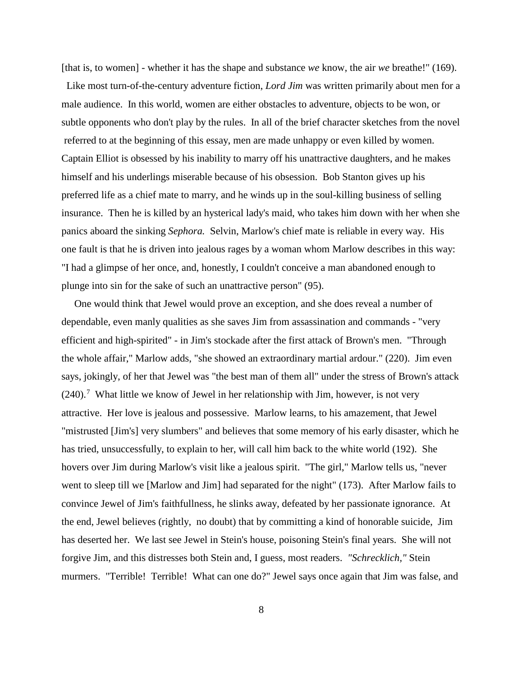[that is, to women] - whether it has the shape and substance *we* know, the air *we* breathe!" (169).

 Like most turn-of-the-century adventure fiction, *Lord Jim* was written primarily about men for a male audience. In this world, women are either obstacles to adventure, objects to be won, or subtle opponents who don't play by the rules. In all of the brief character sketches from the novel referred to at the beginning of this essay, men are made unhappy or even killed by women. Captain Elliot is obsessed by his inability to marry off his unattractive daughters, and he makes himself and his underlings miserable because of his obsession. Bob Stanton gives up his preferred life as a chief mate to marry, and he winds up in the soul-killing business of selling insurance. Then he is killed by an hysterical lady's maid, who takes him down with her when she panics aboard the sinking *Sephora.* Selvin, Marlow's chief mate is reliable in every way. His one fault is that he is driven into jealous rages by a woman whom Marlow describes in this way: "I had a glimpse of her once, and, honestly, I couldn't conceive a man abandoned enough to plunge into sin for the sake of such an unattractive person" (95).

<span id="page-9-0"></span> One would think that Jewel would prove an exception, and she does reveal a number of dependable, even manly qualities as she saves Jim from assassination and commands - "very efficient and high-spirited" - in Jim's stockade after the first attack of Brown's men. "Through the whole affair," Marlow adds, "she showed an extraordinary martial ardour." (220). Jim even says, jokingly, of her that Jewel was "the best man of them all" under the stress of Brown's attack  $(240).$ <sup>[7](#page-7-0)</sup> What little we know of Jewel in her relationship with Jim, however, is not very attractive. Her love is jealous and possessive. Marlow learns, to his amazement, that Jewel "mistrusted [Jim's] very slumbers" and believes that some memory of his early disaster, which he has tried, unsuccessfully, to explain to her, will call him back to the white world (192). She hovers over Jim during Marlow's visit like a jealous spirit. "The girl," Marlow tells us, "never went to sleep till we [Marlow and Jim] had separated for the night" (173). After Marlow fails to convince Jewel of Jim's faithfullness, he slinks away, defeated by her passionate ignorance. At the end, Jewel believes (rightly, no doubt) that by committing a kind of honorable suicide, Jim has deserted her. We last see Jewel in Stein's house, poisoning Stein's final years. She will not forgive Jim, and this distresses both Stein and, I guess, most readers. *"Schrecklich,"* Stein murmers. "Terrible! Terrible! What can one do?" Jewel says once again that Jim was false, and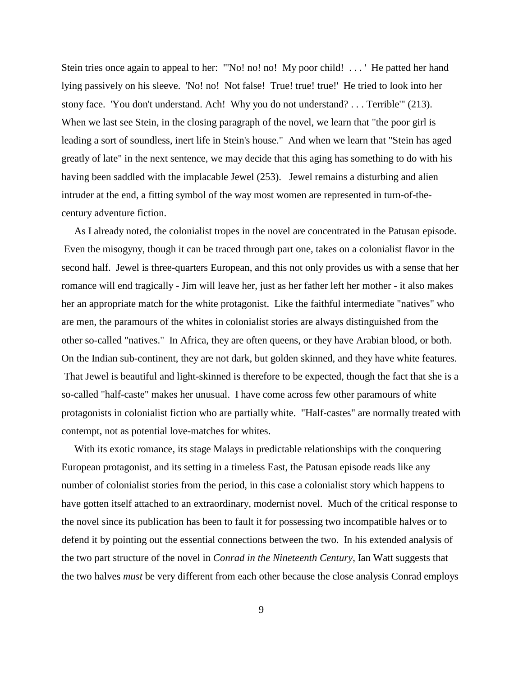Stein tries once again to appeal to her: "'No! no! no! My poor child! . . . ' He patted her hand lying passively on his sleeve. 'No! no! Not false! True! true! true!' He tried to look into her stony face. 'You don't understand. Ach! Why you do not understand? . . . Terrible'" (213). When we last see Stein, in the closing paragraph of the novel, we learn that "the poor girl is leading a sort of soundless, inert life in Stein's house." And when we learn that "Stein has aged greatly of late" in the next sentence, we may decide that this aging has something to do with his having been saddled with the implacable Jewel (253). Jewel remains a disturbing and alien intruder at the end, a fitting symbol of the way most women are represented in turn-of-thecentury adventure fiction.

 As I already noted, the colonialist tropes in the novel are concentrated in the Patusan episode. Even the misogyny, though it can be traced through part one, takes on a colonialist flavor in the second half. Jewel is three-quarters European, and this not only provides us with a sense that her romance will end tragically - Jim will leave her, just as her father left her mother - it also makes her an appropriate match for the white protagonist. Like the faithful intermediate "natives" who are men, the paramours of the whites in colonialist stories are always distinguished from the other so-called "natives." In Africa, they are often queens, or they have Arabian blood, or both. On the Indian sub-continent, they are not dark, but golden skinned, and they have white features. That Jewel is beautiful and light-skinned is therefore to be expected, though the fact that she is a so-called "half-caste" makes her unusual. I have come across few other paramours of white protagonists in colonialist fiction who are partially white. "Half-castes" are normally treated with contempt, not as potential love-matches for whites.

<span id="page-10-0"></span> With its exotic romance, its stage Malays in predictable relationships with the conquering European protagonist, and its setting in a timeless East, the Patusan episode reads like any number of colonialist stories from the period, in this case a colonialist story which happens to have gotten itself attached to an extraordinary, modernist novel. Much of the critical response to the novel since its publication has been to fault it for possessing two incompatible halves or to defend it by pointing out the essential connections between the two. In his extended analysis of the two part structure of the novel in *Conrad in the Nineteenth Century*, Ian Watt suggests that the two halves *must* be very different from each other because the close analysis Conrad employs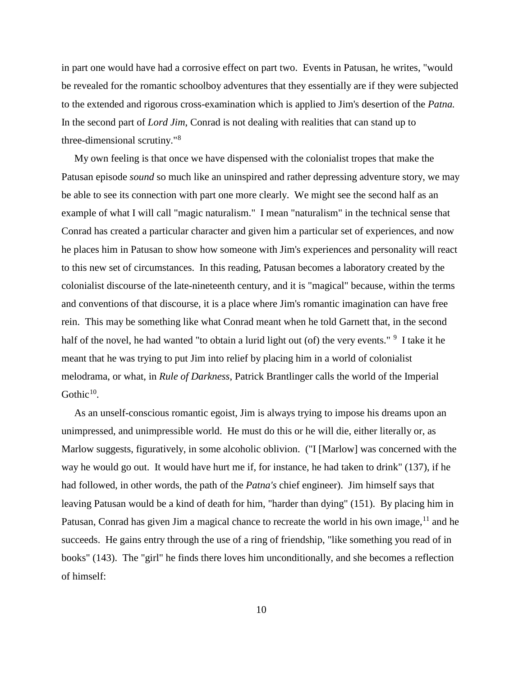in part one would have had a corrosive effect on part two. Events in Patusan, he writes, "would be revealed for the romantic schoolboy adventures that they essentially are if they were subjected to the extended and rigorous cross-examination which is applied to Jim's desertion of the *Patna.*  In the second part of *Lord Jim*, Conrad is not dealing with realities that can stand up to three-dimensional scrutiny."<sup>[8](#page-8-0)</sup>

 My own feeling is that once we have dispensed with the colonialist tropes that make the Patusan episode *sound* so much like an uninspired and rather depressing adventure story, we may be able to see its connection with part one more clearly. We might see the second half as an example of what I will call "magic naturalism." I mean "naturalism" in the technical sense that Conrad has created a particular character and given him a particular set of experiences, and now he places him in Patusan to show how someone with Jim's experiences and personality will react to this new set of circumstances. In this reading, Patusan becomes a laboratory created by the colonialist discourse of the late-nineteenth century, and it is "magical" because, within the terms and conventions of that discourse, it is a place where Jim's romantic imagination can have free rein. This may be something like what Conrad meant when he told Garnett that, in the second half of the novel, he had wanted "to obtain a lurid light out (of) the very events." <sup>[9](#page-8-1)</sup> I take it he meant that he was trying to put Jim into relief by placing him in a world of colonialist melodrama, or what, in *Rule of Darkness*, Patrick Brantlinger calls the world of the Imperial Gothic $10$ .

 As an unself-conscious romantic egoist, Jim is always trying to impose his dreams upon an unimpressed, and unimpressible world. He must do this or he will die, either literally or, as Marlow suggests, figuratively, in some alcoholic oblivion. ("I [Marlow] was concerned with the way he would go out. It would have hurt me if, for instance, he had taken to drink" (137), if he had followed, in other words, the path of the *Patna's* chief engineer). Jim himself says that leaving Patusan would be a kind of death for him, "harder than dying" (151). By placing him in Patusan, Conrad has given Jim a magical chance to recreate the world in his own image,  $11$  and he succeeds. He gains entry through the use of a ring of friendship, "like something you read of in books" (143). The "girl" he finds there loves him unconditionally, and she becomes a reflection of himself:

10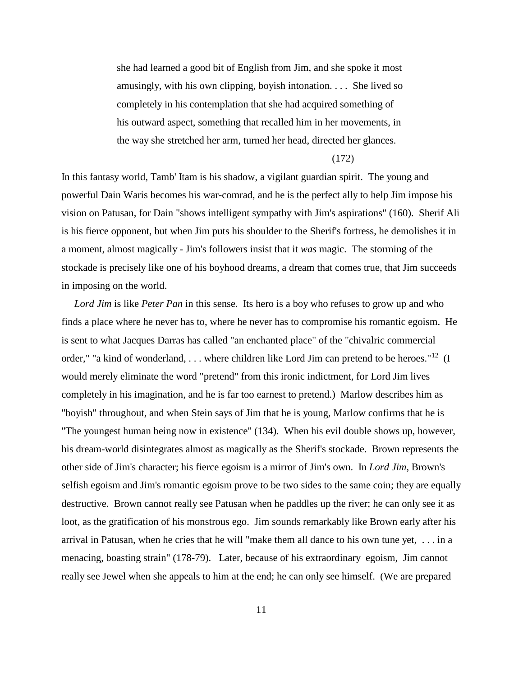she had learned a good bit of English from Jim, and she spoke it most amusingly, with his own clipping, boyish intonation. . . . She lived so completely in his contemplation that she had acquired something of his outward aspect, something that recalled him in her movements, in the way she stretched her arm, turned her head, directed her glances.

#### (172)

In this fantasy world, Tamb' Itam is his shadow, a vigilant guardian spirit. The young and powerful Dain Waris becomes his war-comrad, and he is the perfect ally to help Jim impose his vision on Patusan, for Dain "shows intelligent sympathy with Jim's aspirations" (160). Sherif Ali is his fierce opponent, but when Jim puts his shoulder to the Sherif's fortress, he demolishes it in a moment, almost magically - Jim's followers insist that it *was* magic. The storming of the stockade is precisely like one of his boyhood dreams, a dream that comes true, that Jim succeeds in imposing on the world.

 *Lord Jim* is like *Peter Pan* in this sense. Its hero is a boy who refuses to grow up and who finds a place where he never has to, where he never has to compromise his romantic egoism. He is sent to what Jacques Darras has called "an enchanted place" of the "chivalric commercial order," "a kind of wonderland, ... where children like Lord Jim can pretend to be heroes."<sup>[12](#page-9-0)</sup> (I would merely eliminate the word "pretend" from this ironic indictment, for Lord Jim lives completely in his imagination, and he is far too earnest to pretend.) Marlow describes him as "boyish" throughout, and when Stein says of Jim that he is young, Marlow confirms that he is "The youngest human being now in existence" (134). When his evil double shows up, however, his dream-world disintegrates almost as magically as the Sherif's stockade. Brown represents the other side of Jim's character; his fierce egoism is a mirror of Jim's own. In *Lord Jim*, Brown's selfish egoism and Jim's romantic egoism prove to be two sides to the same coin; they are equally destructive. Brown cannot really see Patusan when he paddles up the river; he can only see it as loot, as the gratification of his monstrous ego. Jim sounds remarkably like Brown early after his arrival in Patusan, when he cries that he will "make them all dance to his own tune yet, . . . in a menacing, boasting strain" (178-79). Later, because of his extraordinary egoism, Jim cannot really see Jewel when she appeals to him at the end; he can only see himself. (We are prepared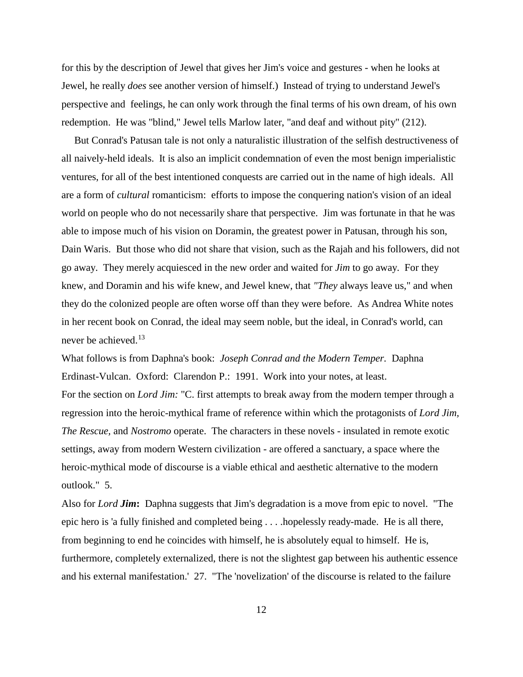for this by the description of Jewel that gives her Jim's voice and gestures - when he looks at Jewel, he really *does* see another version of himself.) Instead of trying to understand Jewel's perspective and feelings, he can only work through the final terms of his own dream, of his own redemption. He was "blind," Jewel tells Marlow later, "and deaf and without pity" (212).

 But Conrad's Patusan tale is not only a naturalistic illustration of the selfish destructiveness of all naively-held ideals. It is also an implicit condemnation of even the most benign imperialistic ventures, for all of the best intentioned conquests are carried out in the name of high ideals. All are a form of *cultural* romanticism: efforts to impose the conquering nation's vision of an ideal world on people who do not necessarily share that perspective. Jim was fortunate in that he was able to impose much of his vision on Doramin, the greatest power in Patusan, through his son, Dain Waris. But those who did not share that vision, such as the Rajah and his followers, did not go away. They merely acquiesced in the new order and waited for *Jim* to go away. For they knew, and Doramin and his wife knew, and Jewel knew, that *"They* always leave us," and when they do the colonized people are often worse off than they were before. As Andrea White notes in her recent book on Conrad, the ideal may seem noble, but the ideal, in Conrad's world, can never be achieved.<sup>[13](#page-10-0)</sup>

What follows is from Daphna's book: *Joseph Conrad and the Modern Temper.* Daphna Erdinast-Vulcan. Oxford: Clarendon P.: 1991. Work into your notes, at least. For the section on *Lord Jim:* "C. first attempts to break away from the modern temper through a regression into the heroic-mythical frame of reference within which the protagonists of *Lord Jim, The Rescue,* and *Nostromo* operate. The characters in these novels - insulated in remote exotic settings, away from modern Western civilization - are offered a sanctuary, a space where the heroic-mythical mode of discourse is a viable ethical and aesthetic alternative to the modern outlook." 5.

Also for *Lord Jim***:** Daphna suggests that Jim's degradation is a move from epic to novel. "The epic hero is 'a fully finished and completed being . . . .hopelessly ready-made. He is all there, from beginning to end he coincides with himself, he is absolutely equal to himself. He is, furthermore, completely externalized, there is not the slightest gap between his authentic essence and his external manifestation.' 27. "The 'novelization' of the discourse is related to the failure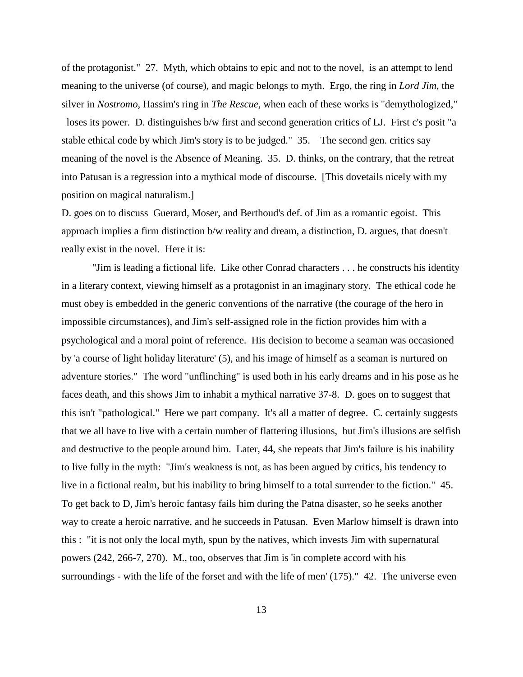of the protagonist." 27. Myth, which obtains to epic and not to the novel, is an attempt to lend meaning to the universe (of course), and magic belongs to myth. Ergo, the ring in *Lord Jim*, the silver in *Nostromo,* Hassim's ring in *The Rescue*, when each of these works is "demythologized,"

 loses its power. D. distinguishes b/w first and second generation critics of LJ. First c's posit "a stable ethical code by which Jim's story is to be judged." 35. The second gen. critics say meaning of the novel is the Absence of Meaning. 35. D. thinks, on the contrary, that the retreat into Patusan is a regression into a mythical mode of discourse. [This dovetails nicely with my position on magical naturalism.]

D. goes on to discuss Guerard, Moser, and Berthoud's def. of Jim as a romantic egoist. This approach implies a firm distinction b/w reality and dream, a distinction, D. argues, that doesn't really exist in the novel. Here it is:

"Jim is leading a fictional life. Like other Conrad characters . . . he constructs his identity in a literary context, viewing himself as a protagonist in an imaginary story. The ethical code he must obey is embedded in the generic conventions of the narrative (the courage of the hero in impossible circumstances), and Jim's self-assigned role in the fiction provides him with a psychological and a moral point of reference. His decision to become a seaman was occasioned by 'a course of light holiday literature' (5), and his image of himself as a seaman is nurtured on adventure stories." The word "unflinching" is used both in his early dreams and in his pose as he faces death, and this shows Jim to inhabit a mythical narrative 37-8. D. goes on to suggest that this isn't "pathological." Here we part company. It's all a matter of degree. C. certainly suggests that we all have to live with a certain number of flattering illusions, but Jim's illusions are selfish and destructive to the people around him. Later, 44, she repeats that Jim's failure is his inability to live fully in the myth: "Jim's weakness is not, as has been argued by critics, his tendency to live in a fictional realm, but his inability to bring himself to a total surrender to the fiction." 45. To get back to D, Jim's heroic fantasy fails him during the Patna disaster, so he seeks another way to create a heroic narrative, and he succeeds in Patusan. Even Marlow himself is drawn into this : "it is not only the local myth, spun by the natives, which invests Jim with supernatural powers (242, 266-7, 270). M., too, observes that Jim is 'in complete accord with his surroundings - with the life of the forset and with the life of men' (175)." 42. The universe even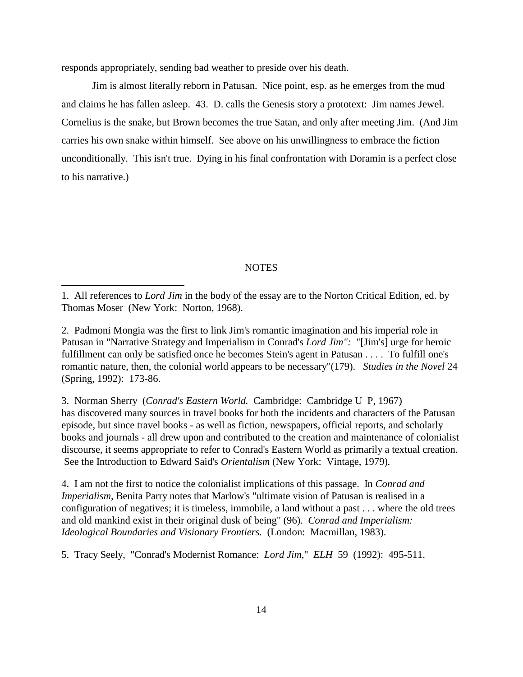responds appropriately, sending bad weather to preside over his death.

 $\overline{a}$ 

Jim is almost literally reborn in Patusan. Nice point, esp. as he emerges from the mud and claims he has fallen asleep. 43. D. calls the Genesis story a prototext: Jim names Jewel. Cornelius is the snake, but Brown becomes the true Satan, and only after meeting Jim. (And Jim carries his own snake within himself. See above on his unwillingness to embrace the fiction unconditionally. This isn't true. Dying in his final confrontation with Doramin is a perfect close to his narrative.)

#### **NOTES**

3. Norman Sherry (*Conrad's Eastern World.* Cambridge: Cambridge U P, 1967) has discovered many sources in travel books for both the incidents and characters of the Patusan episode, but since travel books - as well as fiction, newspapers, official reports, and scholarly books and journals - all drew upon and contributed to the creation and maintenance of colonialist discourse, it seems appropriate to refer to Conrad's Eastern World as primarily a textual creation. See the Introduction to Edward Said's *Orientalism* (New York: Vintage, 1979)*.*

4. I am not the first to notice the colonialist implications of this passage. In *Conrad and Imperialism*, Benita Parry notes that Marlow's "ultimate vision of Patusan is realised in a configuration of negatives; it is timeless, immobile, a land without a past . . . where the old trees and old mankind exist in their original dusk of being" (96). *Conrad and Imperialism: Ideological Boundaries and Visionary Frontiers.* (London: Macmillan, 1983).

5. Tracy Seely, "Conrad's Modernist Romance: *Lord Jim*," *ELH* 59 (1992): 495-511.

<sup>1.</sup> All references to *Lord Jim* in the body of the essay are to the Norton Critical Edition, ed. by Thomas Moser (New York: Norton, 1968).

<sup>2.</sup> Padmoni Mongia was the first to link Jim's romantic imagination and his imperial role in Patusan in "Narrative Strategy and Imperialism in Conrad's *Lord Jim":* "[Jim's] urge for heroic fulfillment can only be satisfied once he becomes Stein's agent in Patusan . . . . To fulfill one's romantic nature, then, the colonial world appears to be necessary"(179). *Studies in the Novel* 24 (Spring, 1992): 173-86.